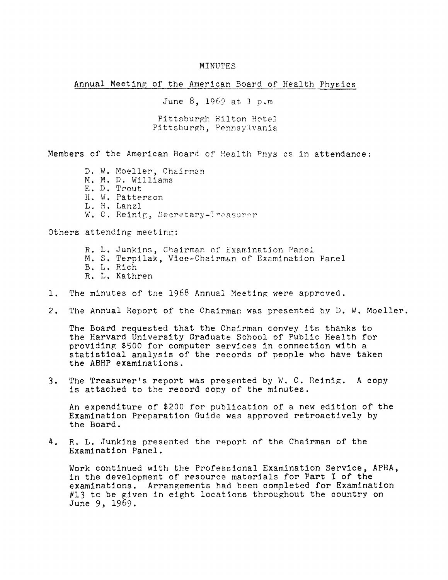## MINUTES

Annual Meeting of the American Board of Health Physics

June 8, 1969 at 1 p.m Pittsburgh Hilton Hotel Pittsburgh, Pennsylvania

Members of the American Board of Health Pnys cs in attendance:

- D. W. Moeller, Chairman
- M, M. D. Williams
- E. D, Trout
- H. W. Pattereon
- L. H. Lanzl
- W. C. Reinig, Secretary-Treasurer

Others attending meeting:

- R. L. Junkins, Chairman of Examination Panel
- M. S. Terpilak, Vice-Chairman of Examination Panel
- B. L. Rich
- R. L. Kathren
- 1. The minutes of tne 1968 Annual Meeting were approved.
- 2. The Annual Report of the Chairman was presented by D. W. Moeller.

The Board requested that the Chairman convey its thanks to the Harvard University Graduate School of Public Health for providing \$500 for computer services in connection with a statistical analysis of the records of people who have taken the ABHP examinations.

3. The Treasurer's report was presented by  $W$ . C. Reinig. A copy is attached to the record copy of the minutes.

An expenditure of \$200 for publication of a new edition of the Examination Preparation Guide was approved retroactively by the Board.

4. R. L. Junkins presented the report of the Chairman of the Examination Panel.

Work continued with the Professional Examination Service, APHA, in the development of resource materjals for Part I of the examinations. Arrangements had been completed for Examination  $#13$  to be given in eight locations throughout the country on June 9, 1969.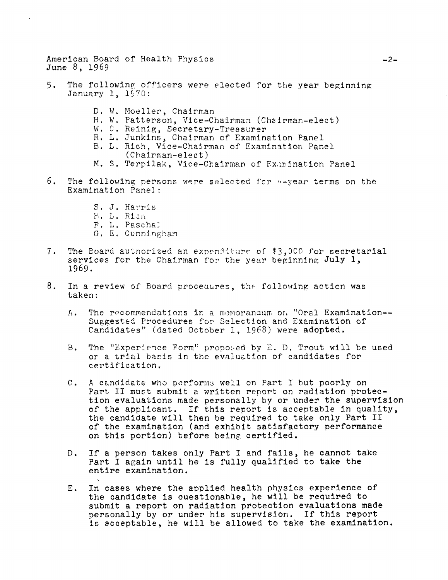American Board of Health Physics June 8, 1969

- 5. The following officers were elected for the year beginning January 1, 1970:
	- D. W. Moeller, Chairman
	- H. W. Patterson, Vice-Chairman (Chairman-elect)
	- W. C. Reinig, Secretary-Treasurer
	- R. L. Junkins, Chairman of Examination Panel
	- B. L. Rich, Vice-Chairman of Examination Panel
		- $(Chain$ an-elect)
	- M. S. Terpilak, Vice-Chairman of Examination Panel
- 6. The following persons were selected for "-year terms on the Examination Panel:
	- S. J. Harris
	- B. L. Rien
	- F. L. Paschal
	- G. E. Cunningham
- The Board autnorized an expenditure of \$3,000 for secretarial  $7.$ services for the Chairman for the year beginning July 1, 1969.
- $8.$ In a review of Board procedures, the following action was taken:
	- $A_{\star}$ The recommendations in a memoranaum on "Oral Examination--Suggested Procedures for Selection and Examination of Candidates" (dated October 1, 1968) were adopted.
	- The "Experience Form" proposed by E. D. Trout will be used  $B_{\bullet}$ on a trial basis in the evaluation of candidates for certification.
	- A candidate who performs well on Part I but poorly on  $\mathcal{C}$ . Part II must submit a written report on radiation protection evaluations made personally by or under the supervision of the applicant. If this report is acceptable in quality, the candidate will then be required to take only Part II of the examination (and exhibit satisfactory performance on this portion) before being certified.
	- If a person takes only Part I and fails, he cannot take D. Part I again until he is fully qualified to take the entire examination.
	- In cases where the applied health physics experience of Ε. the candidate is questionable, he will be required to submit a report on radiation protection evaluations made personally by or under his supervision. If this report is acceptable, he will be allowed to take the examination.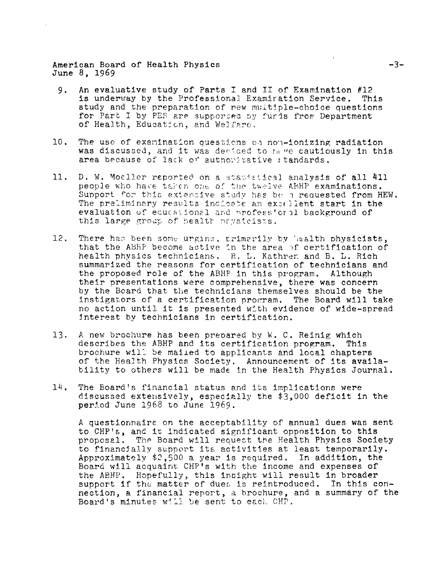American Board of Health Physics June 8, 1969

 $\mathbf{r}$ 

- An evaluative study of Parts I and II of Examination #12  $9.$ is underway by the Professional Examiration Service. This study and the preparation of new multiple-choice questions for Part I by PES are supported by furis from Department of Health, Education, and Welfare.
- $10.$ The use of examination questions on non-ionizing radiation was discussed, and it was decided to make cautiously in this area because of lack or authoritative standards.
- 11. D. W. Mocller reported on a statistical analysis of all 411 people who have taken one of the twelve ABHP examinations. Support for this extensive study has be a requested from HEW. The preliminary results incleate an excellent start in the evaluation of educational and professional background of this large group of health prysicists.
- 12. There has been some urging, primarily by lealth physicists, that the ABHP become active in the area of certification of health physics technicians. R. L. Kathren and B. L. Rich summarized the reasons for certification of technicians and the proposed role of the ABHP in this program. Although their presentations were comprehensive, there was concern by the Board that the technicians themselves should be the instigators of a certification program. The Board will take no action until it is presented with evidence of wide-spread interest by technicians in certification.
- $13.$ A new brochure has been prepared by W. C. Reinig which describes the ABHP and its certification program. This brochure will be mailed to applicants and local chapters of the Health Physics Society. Announcement of its availability to others will be made in the Health Physics Journal.
- 14. The Board's financial status and its implications were discussed extensively, especially the \$3,000 deficit in the period June 1968 to June 1969.

A questionnaire on the acceptability of annual dues was sent to CHP's, and it indicated significant opposition to this proposal. The Board will request the Health Physics Society to financially support its activities at least temporarily. Approximately \$2,500 a year is required. In addition, the Board will acquaint CHP's with the income and expenses of the ABHP. Hopefully, this insight will result in broader support if the matter of dues is reintroduced. In this connection, a financial report, a brochure, and a summary of the Board's minutes will be sent to each CHP.

 $-3-$